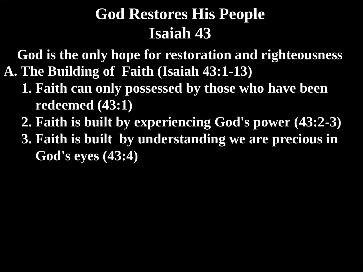**A. The Building of Faith (Isaiah 43:1-13) God is the only hope for restoration and righteousness**

- **1. Faith can only possessed by those who have been redeemed (43:1)**
- **2. Faith is built by experiencing God's power (43:2-3)**
- **3. Faith is built by understanding we are precious in God's eyes (43:4)**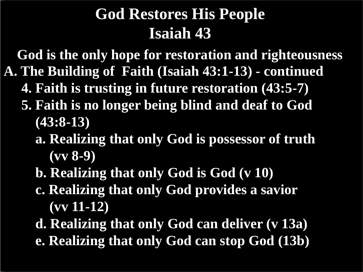**A. The Building of Faith (Isaiah 43:1-13) - continued God is the only hope for restoration and righteousness**

- **4. Faith is trusting in future restoration (43:5-7)**
- **5. Faith is no longer being blind and deaf to God (43:8-13)**
	- **a. Realizing that only God is possessor of truth (vv 8-9)**
	- **b. Realizing that only God is God (v 10)**
	- **c. Realizing that only God provides a savior (vv 11-12)**
	- **d. Realizing that only God can deliver (v 13a) e. Realizing that only God can stop God (13b)**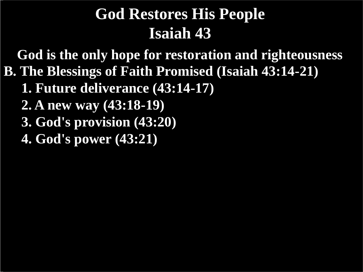**B. The Blessings of Faith Promised (Isaiah 43:14-21) God is the only hope for restoration and righteousness**

- **1. Future deliverance (43:14-17)**
- **2. A new way (43:18-19)**
- **3. God's provision (43:20)**
- **4. God's power (43:21)**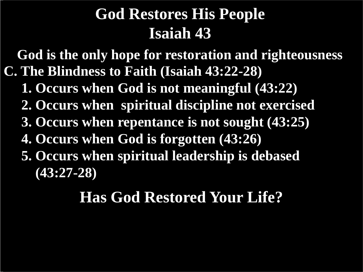**C. The Blindness to Faith (Isaiah 43:22-28) God is the only hope for restoration and righteousness**

 **1. Occurs when God is not meaningful (43:22)**

 **2. Occurs when spiritual discipline not exercised**

 **3. Occurs when repentance is not sought (43:25)**

 **4. Occurs when God is forgotten (43:26)**

 **5. Occurs when spiritual leadership is debased (43:27-28)**

#### **Has God Restored Your Life?**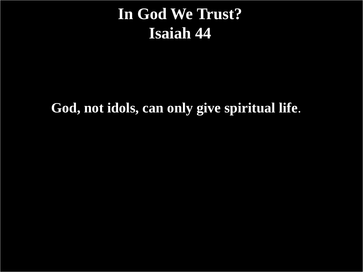#### **In God We Trust? Isaiah 44**

**God, not idols, can only give spiritual life**.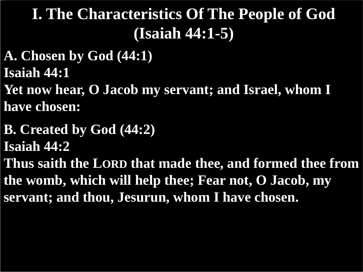#### **I. The Characteristics Of The People of God (Isaiah 44:1-5)**

**A. Chosen by God (44:1) Isaiah 44:1**

**Yet now hear, O Jacob my servant; and Israel, whom I have chosen:**

**B. Created by God (44:2) Isaiah 44:2**

**Thus saith the LORD that made thee, and formed thee from the womb, which will help thee; Fear not, O Jacob, my servant; and thou, Jesurun, whom I have chosen.**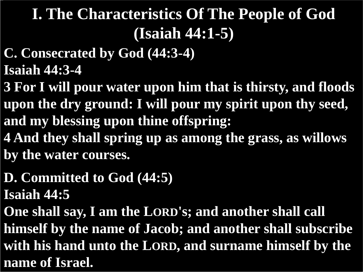# **I. The Characteristics Of The People of God (Isaiah 44:1-5)**

- **C. Consecrated by God (44:3-4)**
- **Isaiah 44:3-4**
- **3 For I will pour water upon him that is thirsty, and floods upon the dry ground: I will pour my spirit upon thy seed, and my blessing upon thine offspring:**
- **4 And they shall spring up as among the grass, as willows by the water courses.**
- **D. Committed to God (44:5) Isaiah 44:5**
- **One shall say, I am the LORD's; and another shall call himself by the name of Jacob; and another shall subscribe with his hand unto the LORD, and surname himself by the name of Israel.**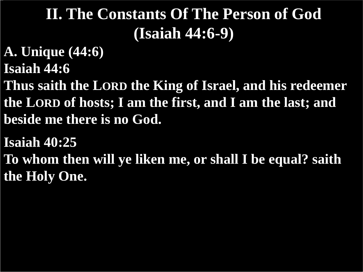# **II. The Constants Of The Person of God (Isaiah 44:6-9)**

- **A. Unique (44:6)**
- **Isaiah 44:6**
- **Thus saith the LORD the King of Israel, and his redeemer the LORD of hosts; I am the first, and I am the last; and beside me there is no God.**
- **Isaiah 40:25**
- **To whom then will ye liken me, or shall I be equal? saith the Holy One.**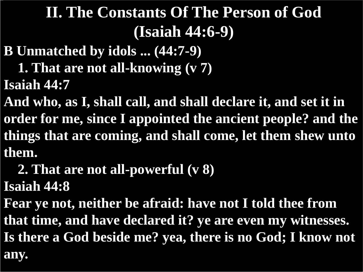# **II. The Constants Of The Person of God (Isaiah 44:6-9)**

- **B Unmatched by idols ... (44:7-9)**
	- **1. That are not all-knowing (v 7)**
- **Isaiah 44:7**

**And who, as I, shall call, and shall declare it, and set it in order for me, since I appointed the ancient people? and the things that are coming, and shall come, let them shew unto them.**

 **2. That are not all-powerful (v 8)**

**Isaiah 44:8**

**Fear ye not, neither be afraid: have not I told thee from that time, and have declared it? ye are even my witnesses. Is there a God beside me? yea, there is no God; I know not any.**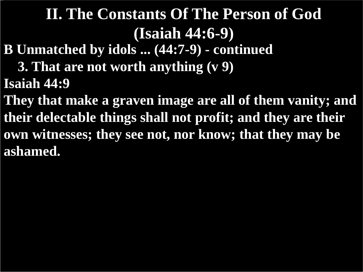## **II. The Constants Of The Person of God (Isaiah 44:6-9)**

- **B Unmatched by idols ... (44:7-9) - continued**
	- **3. That are not worth anything (v 9)**
- **Isaiah 44:9**
- **They that make a graven image are all of them vanity; and their delectable things shall not profit; and they are their own witnesses; they see not, nor know; that they may be ashamed.**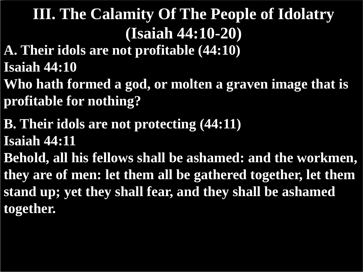- **A. Their idols are not profitable (44:10) Isaiah 44:10**
- **Who hath formed a god, or molten a graven image that is profitable for nothing?**
- **B. Their idols are not protecting (44:11) Isaiah 44:11**
- **Behold, all his fellows shall be ashamed: and the workmen, they are of men: let them all be gathered together, let them stand up; yet they shall fear, and they shall be ashamed together.**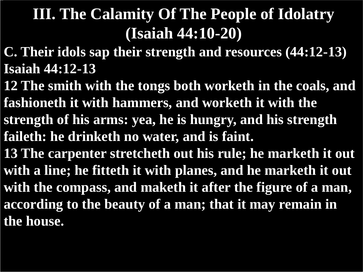- **C. Their idols sap their strength and resources (44:12-13) Isaiah 44:12-13**
- **12 The smith with the tongs both worketh in the coals, and fashioneth it with hammers, and worketh it with the strength of his arms: yea, he is hungry, and his strength faileth: he drinketh no water, and is faint.**
- **13 The carpenter stretcheth out his rule; he marketh it out with a line; he fitteth it with planes, and he marketh it out with the compass, and maketh it after the figure of a man, according to the beauty of a man; that it may remain in the house.**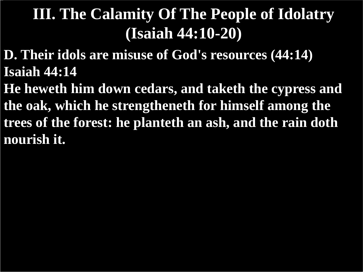- **D. Their idols are misuse of God's resources (44:14) Isaiah 44:14**
- **He heweth him down cedars, and taketh the cypress and the oak, which he strengtheneth for himself among the trees of the forest: he planteth an ash, and the rain doth nourish it.**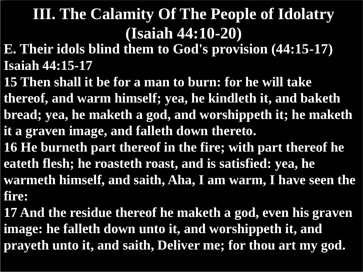- **E. Their idols blind them to God's provision (44:15-17) Isaiah 44:15-17**
- **15 Then shall it be for a man to burn: for he will take thereof, and warm himself; yea, he kindleth it, and baketh bread; yea, he maketh a god, and worshippeth it; he maketh it a graven image, and falleth down thereto.**
- **16 He burneth part thereof in the fire; with part thereof he eateth flesh; he roasteth roast, and is satisfied: yea, he warmeth himself, and saith, Aha, I am warm, I have seen the fire:**
- **17 And the residue thereof he maketh a god, even his graven image: he falleth down unto it, and worshippeth it, and prayeth unto it, and saith, Deliver me; for thou art my god.**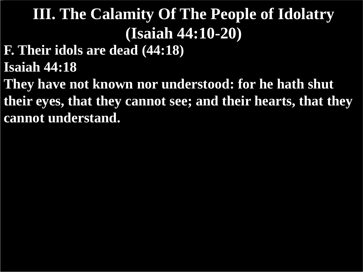**F. Their idols are dead (44:18)**

**Isaiah 44:18**

**They have not known nor understood: for he hath shut their eyes, that they cannot see; and their hearts, that they cannot understand.**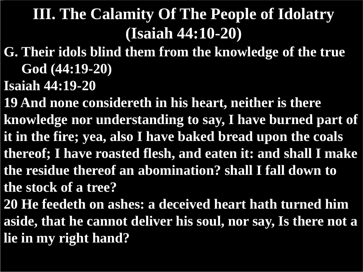- **G. Their idols blind them from the knowledge of the true God (44:19-20)**
- **Isaiah 44:19-20**
- **19 And none considereth in his heart, neither is there knowledge nor understanding to say, I have burned part of it in the fire; yea, also I have baked bread upon the coals thereof; I have roasted flesh, and eaten it: and shall I make the residue thereof an abomination? shall I fall down to the stock of a tree?**
- **20 He feedeth on ashes: a deceived heart hath turned him aside, that he cannot deliver his soul, nor say, Is there not a lie in my right hand?**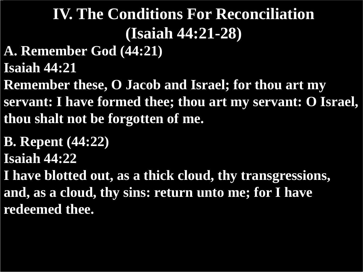- **A. Remember God (44:21)**
- **Isaiah 44:21**
- **Remember these, O Jacob and Israel; for thou art my servant: I have formed thee; thou art my servant: O Israel, thou shalt not be forgotten of me.**
- **B. Repent (44:22)**
- **Isaiah 44:22**
- **I have blotted out, as a thick cloud, thy transgressions, and, as a cloud, thy sins: return unto me; for I have redeemed thee.**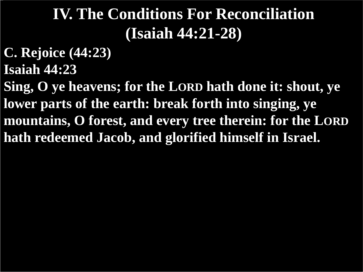- **C. Rejoice (44:23)**
- **Isaiah 44:23**

**Sing, O ye heavens; for the LORD hath done it: shout, ye lower parts of the earth: break forth into singing, ye mountains, O forest, and every tree therein: for the LORD hath redeemed Jacob, and glorified himself in Israel.**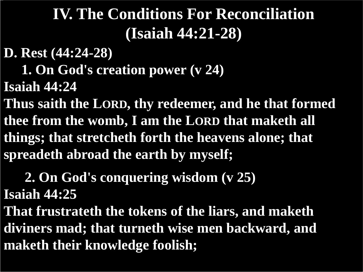**D. Rest (44:24-28)**

 **1. On God's creation power (v 24)**

**Isaiah 44:24**

**Thus saith the LORD, thy redeemer, and he that formed thee from the womb, I am the LORD that maketh all things; that stretcheth forth the heavens alone; that spreadeth abroad the earth by myself;**

# **2. On God's conquering wisdom (v 25)**

**Isaiah 44:25**

**That frustrateth the tokens of the liars, and maketh diviners mad; that turneth wise men backward, and maketh their knowledge foolish;**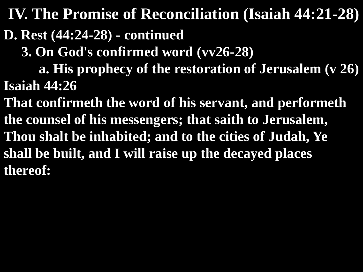**IV. The Promise of Reconciliation (Isaiah 44:21-28)**

**D. Rest (44:24-28) - continued**

 **3. On God's confirmed word (vv26-28)**

 **a. His prophecy of the restoration of Jerusalem (v 26) Isaiah 44:26**

**That confirmeth the word of his servant, and performeth the counsel of his messengers; that saith to Jerusalem, Thou shalt be inhabited; and to the cities of Judah, Ye shall be built, and I will raise up the decayed places thereof:**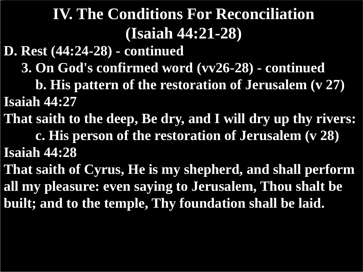**D. Rest (44:24-28) - continued**

 **3. On God's confirmed word (vv26-28) - continued**

 **b. His pattern of the restoration of Jerusalem (v 27) Isaiah 44:27**

- **That saith to the deep, Be dry, and I will dry up thy rivers: c. His person of the restoration of Jerusalem (v 28) Isaiah 44:28**
- **That saith of Cyrus, He is my shepherd, and shall perform all my pleasure: even saying to Jerusalem, Thou shalt be built; and to the temple, Thy foundation shall be laid.**